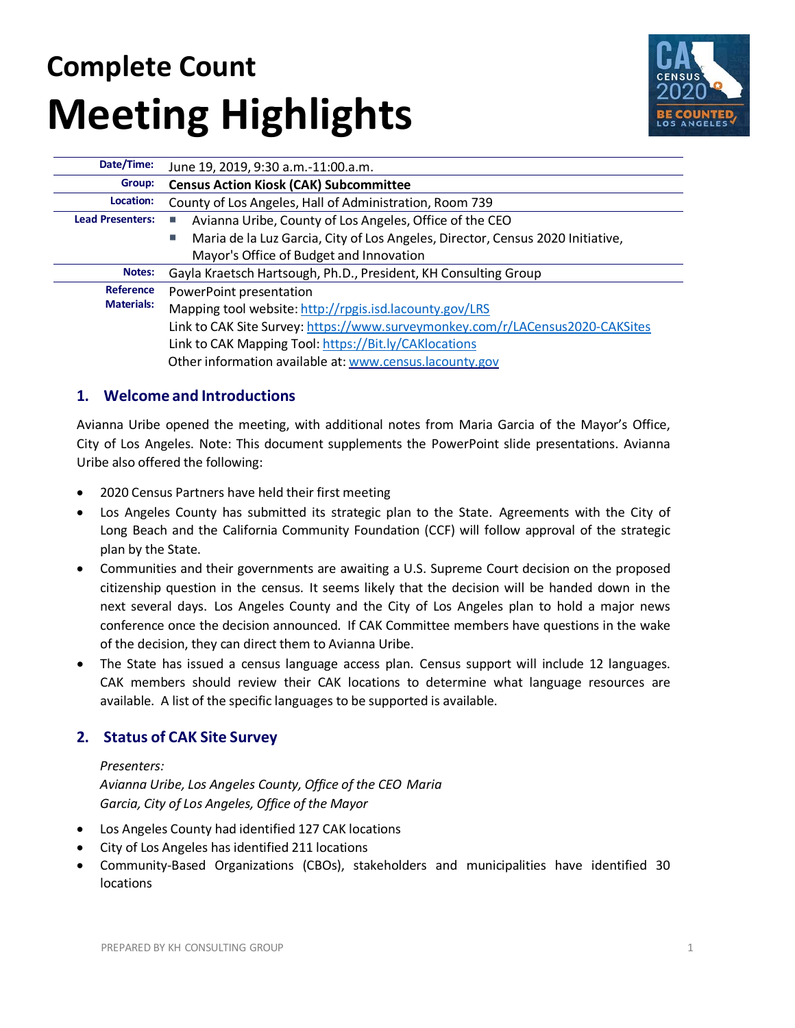# **Complete Count Meeting Highlights**



| Date/Time:              | June 19, 2019, 9:30 a.m.-11:00.a.m.                                            |
|-------------------------|--------------------------------------------------------------------------------|
| Group:                  | <b>Census Action Kiosk (CAK) Subcommittee</b>                                  |
| Location:               | County of Los Angeles, Hall of Administration, Room 739                        |
| <b>Lead Presenters:</b> | Avianna Uribe, County of Los Angeles, Office of the CEO                        |
|                         | Maria de la Luz Garcia, City of Los Angeles, Director, Census 2020 Initiative, |
|                         | Mayor's Office of Budget and Innovation                                        |
| Notes:                  | Gayla Kraetsch Hartsough, Ph.D., President, KH Consulting Group                |
| Reference               | PowerPoint presentation                                                        |
| <b>Materials:</b>       | Mapping tool website: http://rpgis.isd.lacounty.gov/LRS                        |
|                         | Link to CAK Site Survey: https://www.surveymonkey.com/r/LACensus2020-CAKSites  |
|                         | Link to CAK Mapping Tool: https://Bit.ly/CAKlocations                          |
|                         | Other information available at: www.census.lacounty.gov                        |

# **1. Welcome and Introductions**

Avianna Uribe opened the meeting, with additional notes from Maria Garcia of the Mayor's Office, City of Los Angeles. Note: This document supplements the PowerPoint slide presentations. Avianna Uribe also offered the following:

- 2020 Census Partners have held their first meeting
- Los Angeles County has submitted its strategic plan to the State. Agreements with the City of Long Beach and the California Community Foundation (CCF) will follow approval of the strategic plan by the State.
- Communities and their governments are awaiting a U.S. Supreme Court decision on the proposed citizenship question in the census. It seems likely that the decision will be handed down in the next several days. Los Angeles County and the City of Los Angeles plan to hold a major news conference once the decision announced. If CAK Committee members have questions in the wake of the decision, they can direct them to Avianna Uribe.
- The State has issued a census language access plan. Census support will include 12 languages. CAK members should review their CAK locations to determine what language resources are available. A list of the specific languages to be supported is available.

# **2. Status of CAK Site Survey**

## *Presenters:*

*Avianna Uribe, Los Angeles County, Office of the CEO Maria Garcia, City of Los Angeles, Office of the Mayor*

- Los Angeles County had identified 127 CAK locations
- City of Los Angeles has identified 211 locations
- Community-Based Organizations (CBOs), stakeholders and municipalities have identified 30 locations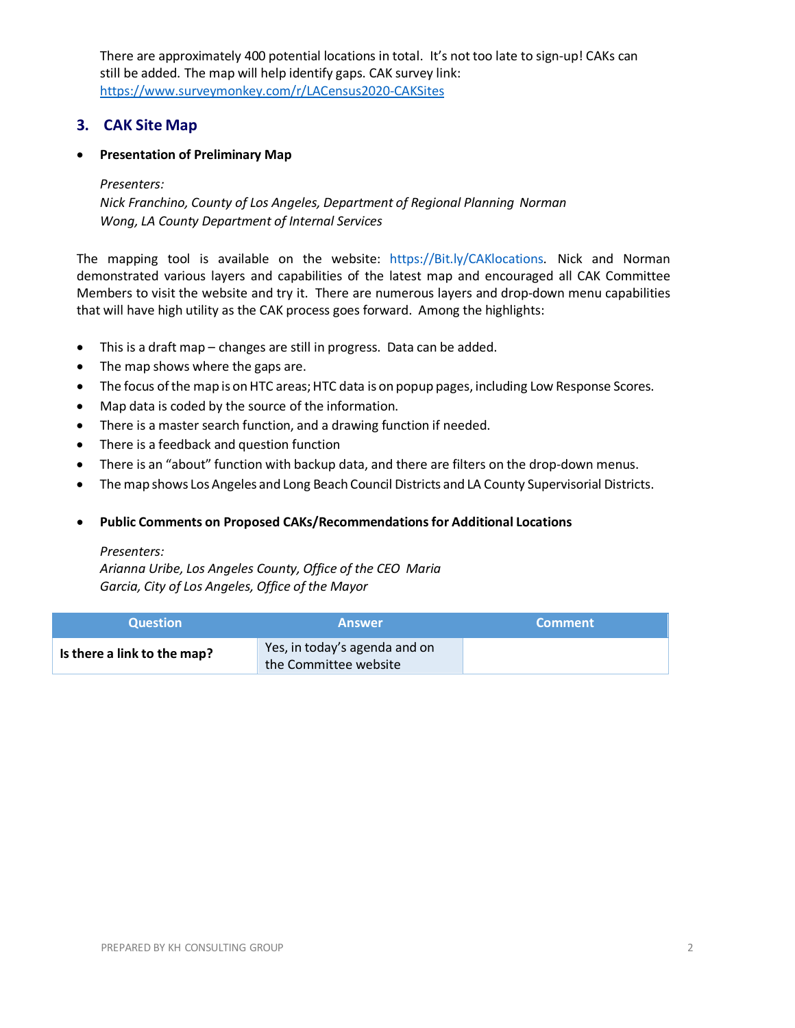There are approximately 400 potential locations in total. It's not too late to sign-up! CAKs can still be added. The map will help identify gaps. CAK survey link: <https://www.surveymonkey.com/r/LACensus2020-CAKSites>

# **3. CAK Site Map**

## • **Presentation of Preliminary Map**

## *Presenters:*

*Nick Franchino, County of Los Angeles, Department of Regional Planning Norman Wong, LA County Department of Internal Services*

The mapping tool is available on the website: https://Bit.ly/CAKlocations. Nick and Norman demonstrated various layers and capabilities of the latest map and encouraged all CAK Committee Members to visit the website and try it. There are numerous layers and drop-down menu capabilities that will have high utility as the CAK process goes forward. Among the highlights:

- This is a draft map changes are still in progress. Data can be added.
- The map shows where the gaps are.
- The focus of the map is on HTC areas; HTC data is on popup pages, including Low Response Scores.
- Map data is coded by the source of the information.
- There is a master search function, and a drawing function if needed.
- There is a feedback and question function
- There is an "about" function with backup data, and there are filters on the drop-down menus.
- The map shows Los Angeles and Long Beach Council Districts and LA County Supervisorial Districts.

## • **Public Comments on Proposed CAKs/Recommendationsfor Additional Locations**

#### *Presenters:*

*Arianna Uribe, Los Angeles County, Office of the CEO Maria Garcia, City of Los Angeles, Office of the Mayor*

| <b>Question</b>             | <b>Answer</b>                                          | <b>Comment</b> |
|-----------------------------|--------------------------------------------------------|----------------|
| Is there a link to the map? | Yes, in today's agenda and on<br>the Committee website |                |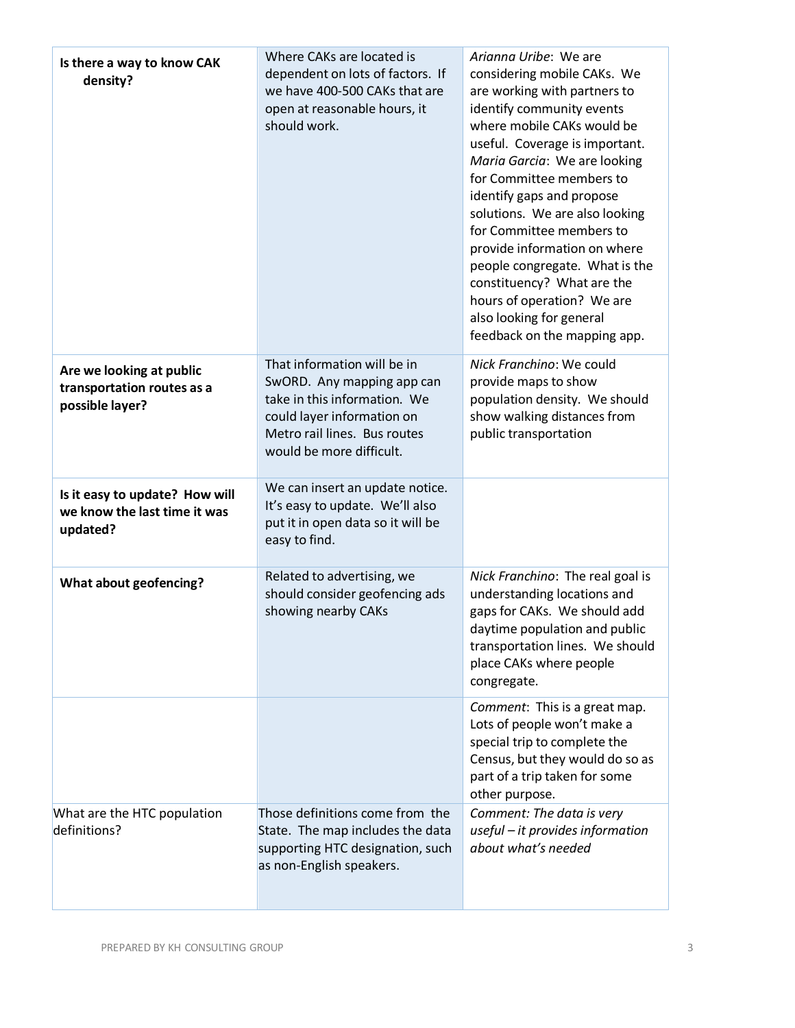| Is there a way to know CAK<br>density?                                     | Where CAKs are located is<br>dependent on lots of factors. If<br>we have 400-500 CAKs that are<br>open at reasonable hours, it<br>should work.                                      | Arianna Uribe: We are<br>considering mobile CAKs. We<br>are working with partners to<br>identify community events<br>where mobile CAKs would be<br>useful. Coverage is important.<br>Maria Garcia: We are looking<br>for Committee members to<br>identify gaps and propose<br>solutions. We are also looking<br>for Committee members to<br>provide information on where<br>people congregate. What is the<br>constituency? What are the<br>hours of operation? We are<br>also looking for general<br>feedback on the mapping app. |
|----------------------------------------------------------------------------|-------------------------------------------------------------------------------------------------------------------------------------------------------------------------------------|------------------------------------------------------------------------------------------------------------------------------------------------------------------------------------------------------------------------------------------------------------------------------------------------------------------------------------------------------------------------------------------------------------------------------------------------------------------------------------------------------------------------------------|
| Are we looking at public<br>transportation routes as a<br>possible layer?  | That information will be in<br>SwORD. Any mapping app can<br>take in this information. We<br>could layer information on<br>Metro rail lines. Bus routes<br>would be more difficult. | Nick Franchino: We could<br>provide maps to show<br>population density. We should<br>show walking distances from<br>public transportation                                                                                                                                                                                                                                                                                                                                                                                          |
| Is it easy to update? How will<br>we know the last time it was<br>updated? | We can insert an update notice.<br>It's easy to update. We'll also<br>put it in open data so it will be<br>easy to find.                                                            |                                                                                                                                                                                                                                                                                                                                                                                                                                                                                                                                    |
| What about geofencing?                                                     | Related to advertising, we<br>should consider geofencing ads<br>showing nearby CAKs                                                                                                 | Nick Franchino: The real goal is<br>understanding locations and<br>gaps for CAKs. We should add<br>daytime population and public<br>transportation lines. We should<br>place CAKs where people<br>congregate.                                                                                                                                                                                                                                                                                                                      |
|                                                                            |                                                                                                                                                                                     | Comment: This is a great map.<br>Lots of people won't make a<br>special trip to complete the<br>Census, but they would do so as<br>part of a trip taken for some<br>other purpose.                                                                                                                                                                                                                                                                                                                                                 |
| What are the HTC population<br>definitions?                                | Those definitions come from the<br>State. The map includes the data<br>supporting HTC designation, such<br>as non-English speakers.                                                 | Comment: The data is very<br>useful - it provides information<br>about what's needed                                                                                                                                                                                                                                                                                                                                                                                                                                               |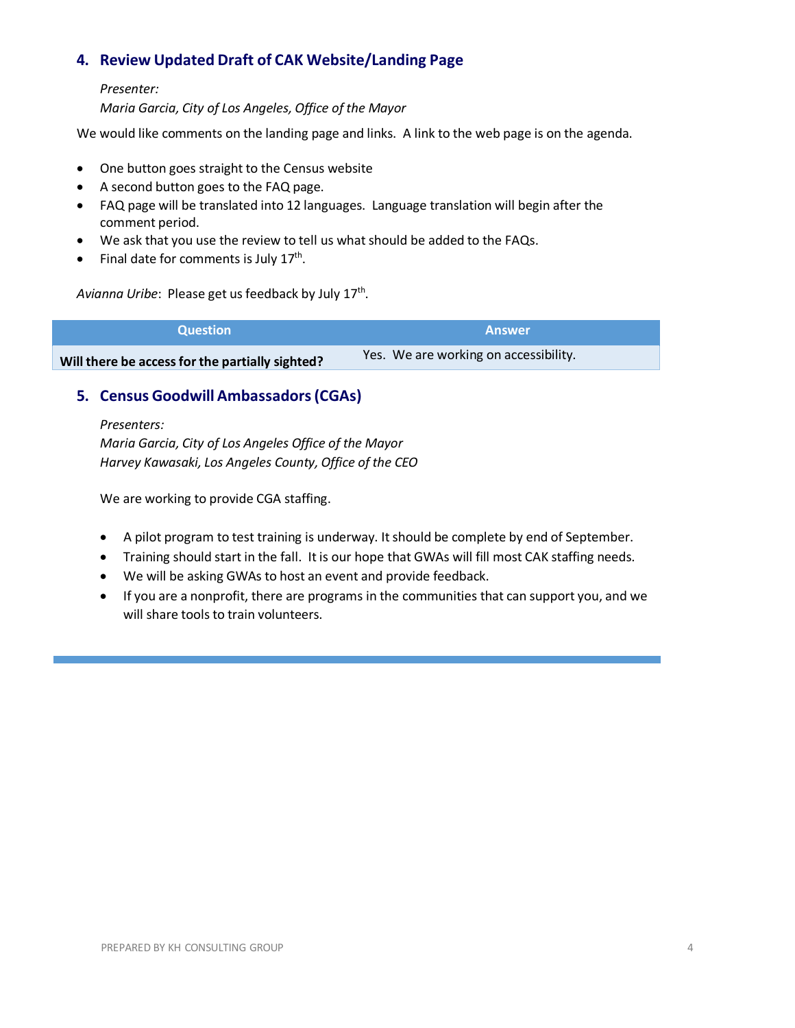# **4. Review Updated Draft of CAK Website/Landing Page**

## *Presenter:*

*Maria Garcia, City of Los Angeles, Office of the Mayor*

We would like comments on the landing page and links. A link to the web page is on the agenda.

- One button goes straight to the Census website
- A second button goes to the FAQ page.
- FAQ page will be translated into 12 languages. Language translation will begin after the comment period.
- We ask that you use the review to tell us what should be added to the FAQs.
- Final date for comments is July  $17<sup>th</sup>$ .

Avianna Uribe: Please get us feedback by July 17<sup>th</sup>.

| <b>Question</b>                                 | <b>Answer</b>                         |
|-------------------------------------------------|---------------------------------------|
| Will there be access for the partially sighted? | Yes. We are working on accessibility. |

# **5. Census Goodwill Ambassadors(CGAs)**

*Presenters: Maria Garcia, City of Los Angeles Office of the Mayor Harvey Kawasaki, Los Angeles County, Office of the CEO*

We are working to provide CGA staffing.

- A pilot program to test training is underway. It should be complete by end of September.
- Training should start in the fall. It is our hope that GWAs will fill most CAK staffing needs.
- We will be asking GWAs to host an event and provide feedback.
- If you are a nonprofit, there are programs in the communities that can support you, and we will share tools to train volunteers.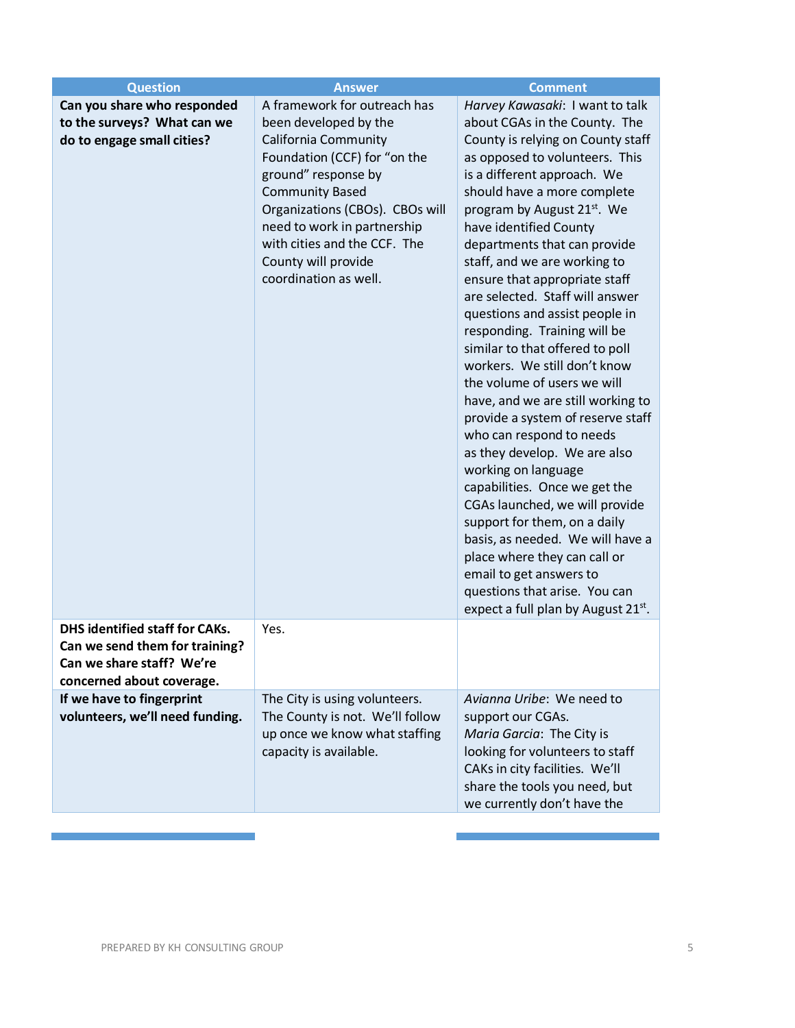| <b>Question</b>                                                                                                                   | <b>Answer</b>                                                                                                                                                                                                                                                                                                                   | <b>Comment</b>                                                                                                                                                                                                                                                                                                                                                                                                                                                                                                                                                                                                                                                                                                                                                                                                                                                                                                                                                                                                           |
|-----------------------------------------------------------------------------------------------------------------------------------|---------------------------------------------------------------------------------------------------------------------------------------------------------------------------------------------------------------------------------------------------------------------------------------------------------------------------------|--------------------------------------------------------------------------------------------------------------------------------------------------------------------------------------------------------------------------------------------------------------------------------------------------------------------------------------------------------------------------------------------------------------------------------------------------------------------------------------------------------------------------------------------------------------------------------------------------------------------------------------------------------------------------------------------------------------------------------------------------------------------------------------------------------------------------------------------------------------------------------------------------------------------------------------------------------------------------------------------------------------------------|
| Can you share who responded<br>to the surveys? What can we<br>do to engage small cities?<br><b>DHS identified staff for CAKs.</b> | A framework for outreach has<br>been developed by the<br><b>California Community</b><br>Foundation (CCF) for "on the<br>ground" response by<br><b>Community Based</b><br>Organizations (CBOs). CBOs will<br>need to work in partnership<br>with cities and the CCF. The<br>County will provide<br>coordination as well.<br>Yes. | Harvey Kawasaki: I want to talk<br>about CGAs in the County. The<br>County is relying on County staff<br>as opposed to volunteers. This<br>is a different approach. We<br>should have a more complete<br>program by August 21 <sup>st</sup> . We<br>have identified County<br>departments that can provide<br>staff, and we are working to<br>ensure that appropriate staff<br>are selected. Staff will answer<br>questions and assist people in<br>responding. Training will be<br>similar to that offered to poll<br>workers. We still don't know<br>the volume of users we will<br>have, and we are still working to<br>provide a system of reserve staff<br>who can respond to needs<br>as they develop. We are also<br>working on language<br>capabilities. Once we get the<br>CGAs launched, we will provide<br>support for them, on a daily<br>basis, as needed. We will have a<br>place where they can call or<br>email to get answers to<br>questions that arise. You can<br>expect a full plan by August 21st. |
| Can we send them for training?<br>Can we share staff? We're<br>concerned about coverage.                                          |                                                                                                                                                                                                                                                                                                                                 |                                                                                                                                                                                                                                                                                                                                                                                                                                                                                                                                                                                                                                                                                                                                                                                                                                                                                                                                                                                                                          |
| If we have to fingerprint<br>volunteers, we'll need funding.                                                                      | The City is using volunteers.<br>The County is not. We'll follow<br>up once we know what staffing<br>capacity is available.                                                                                                                                                                                                     | Avianna Uribe: We need to<br>support our CGAs.<br>Maria Garcia: The City is<br>looking for volunteers to staff<br>CAKs in city facilities. We'll<br>share the tools you need, but<br>we currently don't have the                                                                                                                                                                                                                                                                                                                                                                                                                                                                                                                                                                                                                                                                                                                                                                                                         |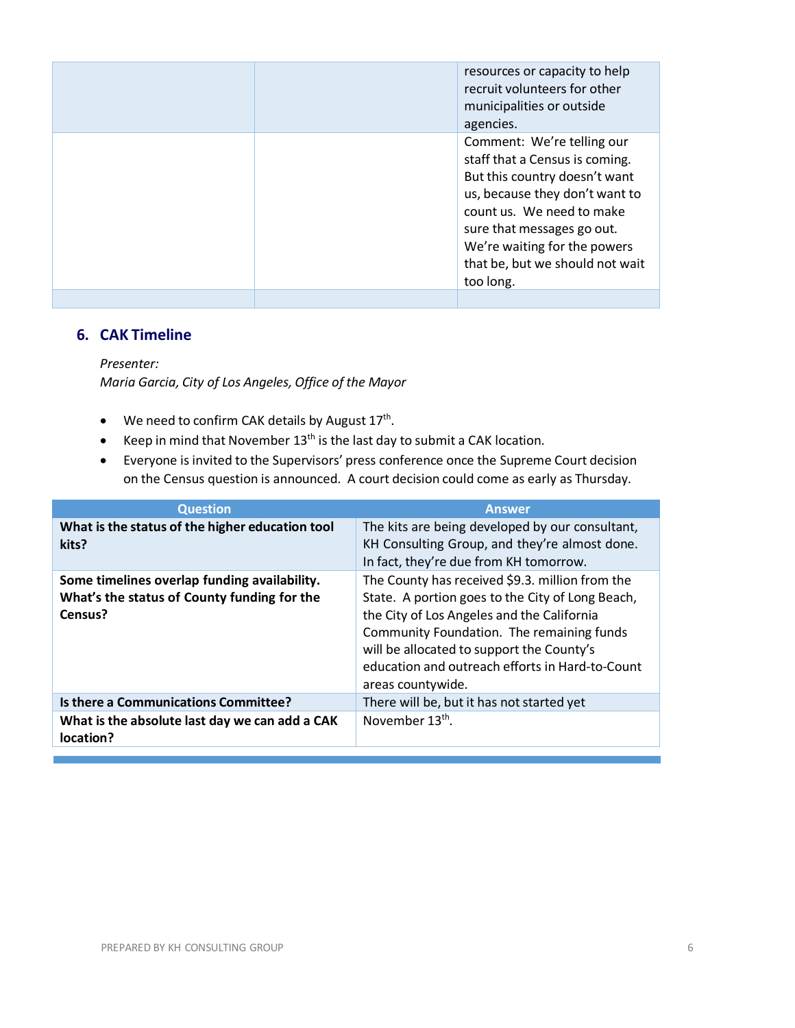|  | resources or capacity to help<br>recruit volunteers for other<br>municipalities or outside<br>agencies.                                                                                                                                                                    |
|--|----------------------------------------------------------------------------------------------------------------------------------------------------------------------------------------------------------------------------------------------------------------------------|
|  | Comment: We're telling our<br>staff that a Census is coming.<br>But this country doesn't want<br>us, because they don't want to<br>count us. We need to make<br>sure that messages go out.<br>We're waiting for the powers<br>that be, but we should not wait<br>too long. |
|  |                                                                                                                                                                                                                                                                            |

## **6. CAK Timeline**

*Presenter:*

*Maria Garcia, City of Los Angeles, Office of the Mayor*

- We need to confirm CAK details by August  $17<sup>th</sup>$ .
- Keep in mind that November  $13<sup>th</sup>$  is the last day to submit a CAK location.
- Everyone is invited to the Supervisors' press conference once the Supreme Court decision on the Census question is announced. A court decision could come as early as Thursday.

| <b>Question</b>                                                                                        | <b>Answer</b>                                                                                                                                                                                                                                                                                                       |
|--------------------------------------------------------------------------------------------------------|---------------------------------------------------------------------------------------------------------------------------------------------------------------------------------------------------------------------------------------------------------------------------------------------------------------------|
| What is the status of the higher education tool<br>kits?                                               | The kits are being developed by our consultant,<br>KH Consulting Group, and they're almost done.<br>In fact, they're due from KH tomorrow.                                                                                                                                                                          |
| Some timelines overlap funding availability.<br>What's the status of County funding for the<br>Census? | The County has received \$9.3. million from the<br>State. A portion goes to the City of Long Beach,<br>the City of Los Angeles and the California<br>Community Foundation. The remaining funds<br>will be allocated to support the County's<br>education and outreach efforts in Hard-to-Count<br>areas countywide. |
| Is there a Communications Committee?                                                                   | There will be, but it has not started yet                                                                                                                                                                                                                                                                           |
| What is the absolute last day we can add a CAK<br>location?                                            | November 13 <sup>th</sup> .                                                                                                                                                                                                                                                                                         |